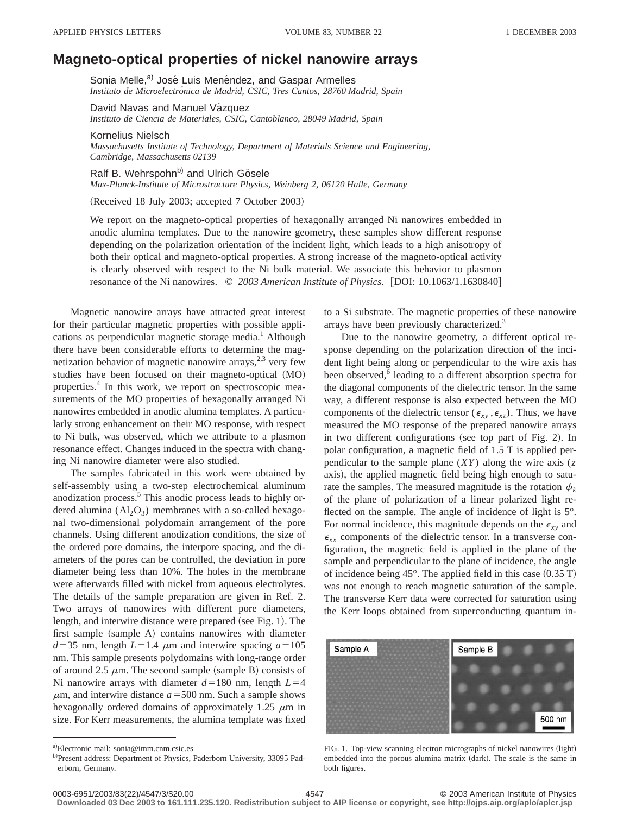## **Magneto-optical properties of nickel nanowire arrays**

Sonia Melle,<sup>a)</sup> José Luis Menéndez, and Gaspar Armelles *Instituto de Microelectro´nica de Madrid, CSIC, Tres Cantos, 28760 Madrid, Spain*

David Navas and Manuel Vázquez *Instituto de Ciencia de Materiales, CSIC, Cantoblanco, 28049 Madrid, Spain*

Kornelius Nielsch *Massachusetts Institute of Technology, Department of Materials Science and Engineering, Cambridge, Massachusetts 02139*

Ralf B. Wehrspohn<sup>b)</sup> and Ulrich Gösele *Max-Planck-Institute of Microstructure Physics, Weinberg 2, 06120 Halle, Germany*

(Received 18 July 2003; accepted 7 October 2003)

We report on the magneto-optical properties of hexagonally arranged Ni nanowires embedded in anodic alumina templates. Due to the nanowire geometry, these samples show different response depending on the polarization orientation of the incident light, which leads to a high anisotropy of both their optical and magneto-optical properties. A strong increase of the magneto-optical activity is clearly observed with respect to the Ni bulk material. We associate this behavior to plasmon resonance of the Ni nanowires.  $\degree$  2003 American Institute of Physics. [DOI: 10.1063/1.1630840]

Magnetic nanowire arrays have attracted great interest for their particular magnetic properties with possible applications as perpendicular magnetic storage media.<sup>1</sup> Although there have been considerable efforts to determine the magnetization behavior of magnetic nanowire arrays, $2,3$  very few studies have been focused on their magneto-optical (MO) properties.4 In this work, we report on spectroscopic measurements of the MO properties of hexagonally arranged Ni nanowires embedded in anodic alumina templates. A particularly strong enhancement on their MO response, with respect to Ni bulk, was observed, which we attribute to a plasmon resonance effect. Changes induced in the spectra with changing Ni nanowire diameter were also studied.

The samples fabricated in this work were obtained by self-assembly using a two-step electrochemical aluminum anodization process.<sup>5</sup> This anodic process leads to highly ordered alumina  $(Al_2O_3)$  membranes with a so-called hexagonal two-dimensional polydomain arrangement of the pore channels. Using different anodization conditions, the size of the ordered pore domains, the interpore spacing, and the diameters of the pores can be controlled, the deviation in pore diameter being less than 10%. The holes in the membrane were afterwards filled with nickel from aqueous electrolytes. The details of the sample preparation are given in Ref. 2. Two arrays of nanowires with different pore diameters, length, and interwire distance were prepared (see Fig. 1). The first sample (sample A) contains nanowires with diameter  $d=35$  nm, length  $L=1.4$   $\mu$ m and interwire spacing  $a=105$ nm. This sample presents polydomains with long-range order of around 2.5  $\mu$ m. The second sample (sample B) consists of Ni nanowire arrays with diameter  $d=180$  nm, length  $L=4$  $\mu$ m, and interwire distance  $a = 500$  nm. Such a sample shows hexagonally ordered domains of approximately 1.25  $\mu$ m in size. For Kerr measurements, the alumina template was fixed

to a Si substrate. The magnetic properties of these nanowire arrays have been previously characterized.<sup>3</sup>

Due to the nanowire geometry, a different optical response depending on the polarization direction of the incident light being along or perpendicular to the wire axis has been observed,<sup>6</sup> leading to a different absorption spectra for the diagonal components of the dielectric tensor. In the same way, a different response is also expected between the MO components of the dielectric tensor ( $\epsilon_{xy}$ ,  $\epsilon_{xz}$ ). Thus, we have measured the MO response of the prepared nanowire arrays in two different configurations (see top part of Fig. 2). In polar configuration, a magnetic field of 1.5 T is applied perpendicular to the sample plane (*XY*) along the wire axis (*z* axis), the applied magnetic field being high enough to saturate the samples. The measured magnitude is the rotation  $\phi_k$ of the plane of polarization of a linear polarized light reflected on the sample. The angle of incidence of light is  $5^\circ$ . For normal incidence, this magnitude depends on the  $\epsilon_{xy}$  and  $\epsilon_{xx}$  components of the dielectric tensor. In a transverse configuration, the magnetic field is applied in the plane of the sample and perpendicular to the plane of incidence, the angle of incidence being  $45^{\circ}$ . The applied field in this case  $(0.35 \text{ T})$ was not enough to reach magnetic saturation of the sample. The transverse Kerr data were corrected for saturation using the Kerr loops obtained from superconducting quantum in-



FIG. 1. Top-view scanning electron micrographs of nickel nanowires (light) embedded into the porous alumina matrix (dark). The scale is the same in both figures.

**Downloaded 03 Dec 2003 to 161.111.235.120. Redistribution subject to AIP license or copyright, see http://ojps.aip.org/aplo/aplcr.jsp**

a)Electronic mail: sonia@imm.cnm.csic.es

b)Present address: Department of Physics, Paderborn University, 33095 Paderborn, Germany.

<sup>0003-6951/2003/83(22)/4547/3/\$20.00 4547 4547</sup> C 2003 American Institute of Physics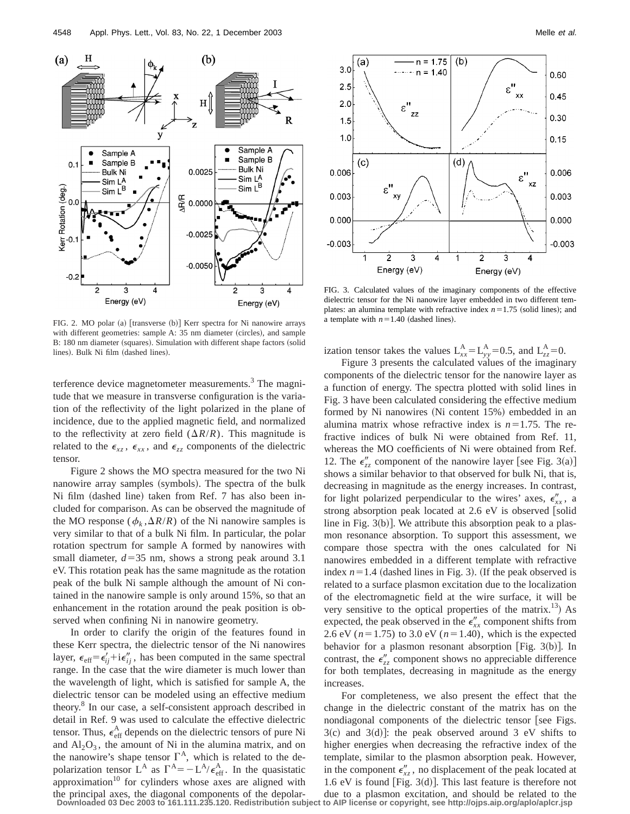

 $(b)$  $n = 1.75$ (a)  $3.0$  $n = 1.40$ 0.60  $\varepsilon''$  $2.5$  $\times$  $0.45$  $2.0$  $\epsilon$ " zz 0.30  $1.5$  $1.0$  $0.15$  $(d)$  $(c)$  $\epsilon$ " 0.006 0.006  $xz$  $\varepsilon$ " 0.003 0.003 0.000 0.000  $-0.003$  $-0.003$  $\overline{c}$ 3 1 3 4 2 4 Energy (eV) Energy (eV)

FIG. 2. MO polar (a) [transverse (b)] Kerr spectra for Ni nanowire arrays with different geometries: sample A: 35 nm diameter (circles), and sample B: 180 nm diameter (squares). Simulation with different shape factors (solid lines). Bulk Ni film (dashed lines).

terference device magnetometer measurements.<sup>3</sup> The magnitude that we measure in transverse configuration is the variation of the reflectivity of the light polarized in the plane of incidence, due to the applied magnetic field, and normalized to the reflectivity at zero field  $(\Delta R/R)$ . This magnitude is related to the  $\epsilon_{xz}$ ,  $\epsilon_{xx}$ , and  $\epsilon_{zz}$  components of the dielectric tensor.

Figure 2 shows the MO spectra measured for the two Ni nanowire array samples (symbols). The spectra of the bulk Ni film (dashed line) taken from Ref. 7 has also been included for comparison. As can be observed the magnitude of the MO response ( $\phi_k$ ,  $\Delta R/R$ ) of the Ni nanowire samples is very similar to that of a bulk Ni film. In particular, the polar rotation spectrum for sample A formed by nanowires with small diameter,  $d=35$  nm, shows a strong peak around 3.1 eV. This rotation peak has the same magnitude as the rotation peak of the bulk Ni sample although the amount of Ni contained in the nanowire sample is only around 15%, so that an enhancement in the rotation around the peak position is observed when confining Ni in nanowire geometry.

In order to clarify the origin of the features found in these Kerr spectra, the dielectric tensor of the Ni nanowires layer,  $\epsilon_{\text{eff}} = \epsilon'_{ii} + i \epsilon''_{ii}$ , has been computed in the same spectral range. In the case that the wire diameter is much lower than the wavelength of light, which is satisfied for sample A, the dielectric tensor can be modeled using an effective medium theory.8 In our case, a self-consistent approach described in detail in Ref. 9 was used to calculate the effective dielectric tensor. Thus,  $\epsilon_{\text{eff}}^{\text{A}}$  depends on the dielectric tensors of pure Ni and  $Al_2O_3$ , the amount of Ni in the alumina matrix, and on the nanowire's shape tensor  $\Gamma^A$ , which is related to the depolarization tensor L<sup>A</sup> as  $\Gamma^{A} = -L^{A}/\epsilon_{eff}^{A}$ . In the quasistatic approximation<sup>10</sup> for cylinders whose axes are aligned with the principal axes, the diagonal components of the depolar-**Downloaded 03 Dec 2003 to 161.111.235.120. Redistribution subject to AIP license or copyright, see http://ojps.aip.org/aplo/aplcr.jsp**

FIG. 3. Calculated values of the imaginary components of the effective dielectric tensor for the Ni nanowire layer embedded in two different templates: an alumina template with refractive index  $n=1.75$  (solid lines); and a template with  $n=1.40$  (dashed lines).

ization tensor takes the values  $L_{xx}^{A} = L_{yy}^{A} = 0.5$ , and  $L_{zz}^{A} = 0$ .

Figure 3 presents the calculated values of the imaginary components of the dielectric tensor for the nanowire layer as a function of energy. The spectra plotted with solid lines in Fig. 3 have been calculated considering the effective medium formed by Ni nanowires (Ni content 15%) embedded in an alumina matrix whose refractive index is  $n=1.75$ . The refractive indices of bulk Ni were obtained from Ref. 11, whereas the MO coefficients of Ni were obtained from Ref. 12. The  $\epsilon''_{zz}$  component of the nanowire layer [see Fig. 3(a)] shows a similar behavior to that observed for bulk Ni, that is, decreasing in magnitude as the energy increases. In contrast, for light polarized perpendicular to the wires' axes,  $\epsilon_{xx}^{\prime\prime}$ , a strong absorption peak located at  $2.6$  eV is observed [solid line in Fig.  $3(b)$ . We attribute this absorption peak to a plasmon resonance absorption. To support this assessment, we compare those spectra with the ones calculated for Ni nanowires embedded in a different template with refractive index  $n=1.4$  (dashed lines in Fig. 3). (If the peak observed is related to a surface plasmon excitation due to the localization of the electromagnetic field at the wire surface, it will be very sensitive to the optical properties of the matrix.<sup>13</sup>) As expected, the peak observed in the  $\epsilon_{xx}^{\prime\prime}$  component shifts from 2.6 eV ( $n=1.75$ ) to 3.0 eV ( $n=1.40$ ), which is the expected behavior for a plasmon resonant absorption [Fig. 3(b)]. In contrast, the  $\epsilon''_{zz}$  component shows no appreciable difference for both templates, decreasing in magnitude as the energy increases.

For completeness, we also present the effect that the change in the dielectric constant of the matrix has on the nondiagonal components of the dielectric tensor [see Figs.  $3(c)$  and  $3(d)$ : the peak observed around 3 eV shifts to higher energies when decreasing the refractive index of the template, similar to the plasmon absorption peak. However, in the component  $\epsilon''_{xz}$ , no displacement of the peak located at 1.6 eV is found [Fig. 3 $(d)$ ]. This last feature is therefore not due to a plasmon excitation, and should be related to the to AIP license or copyright, see http://ojps.aip.org/aplo/aplcr.jsp